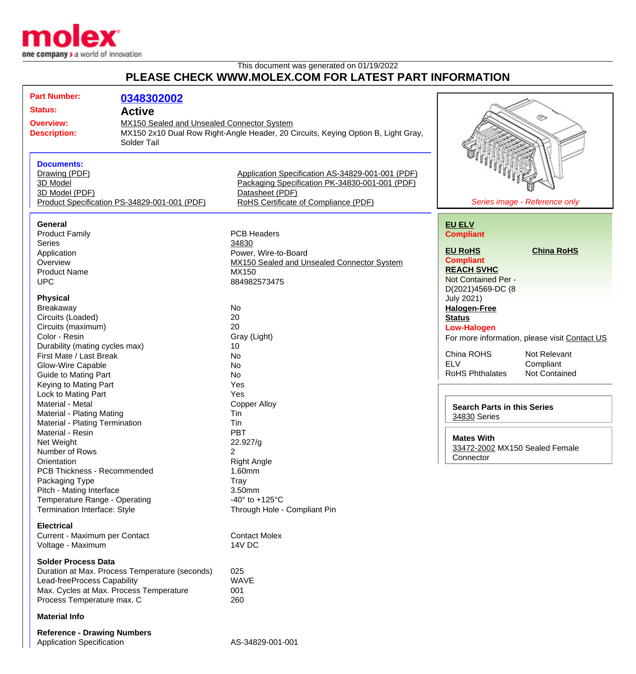

## This document was generated on 01/19/2022 **PLEASE CHECK WWW.MOLEX.COM FOR LATEST PART INFORMATION**

| <b>Part Number:</b>                            | 0348302002                                 |                                                                                   |                                                |
|------------------------------------------------|--------------------------------------------|-----------------------------------------------------------------------------------|------------------------------------------------|
| <b>Status:</b><br><b>Active</b>                |                                            |                                                                                   |                                                |
|                                                | MX150 Sealed and Unsealed Connector System |                                                                                   | ⊛                                              |
| <b>Overview:</b>                               |                                            |                                                                                   |                                                |
| <b>Description:</b>                            |                                            | MX150 2x10 Dual Row Right-Angle Header, 20 Circuits, Keying Option B, Light Gray, |                                                |
|                                                | Solder Tail                                |                                                                                   |                                                |
|                                                |                                            |                                                                                   |                                                |
| <b>Documents:</b>                              |                                            |                                                                                   |                                                |
| Drawing (PDF)                                  |                                            | Application Specification AS-34829-001-001 (PDF)                                  |                                                |
| 3D Model                                       |                                            | Packaging Specification PK-34830-001-001 (PDF)                                    |                                                |
| 3D Model (PDF)                                 |                                            | Datasheet (PDF)                                                                   |                                                |
| Product Specification PS-34829-001-001 (PDF)   |                                            | RoHS Certificate of Compliance (PDF)                                              | Series image - Reference only                  |
|                                                |                                            |                                                                                   |                                                |
|                                                |                                            |                                                                                   |                                                |
| <b>General</b>                                 |                                            |                                                                                   | <b>EU ELV</b>                                  |
| <b>Product Family</b>                          |                                            | <b>PCB Headers</b>                                                                | <b>Compliant</b>                               |
| Series                                         |                                            | 34830                                                                             |                                                |
| Application                                    |                                            | Power, Wire-to-Board                                                              | <b>China RoHS</b><br><b>EU RoHS</b>            |
| Overview                                       |                                            | MX150 Sealed and Unsealed Connector System                                        | <b>Compliant</b>                               |
| <b>Product Name</b>                            |                                            | MX150                                                                             | <b>REACH SVHC</b>                              |
| <b>UPC</b>                                     |                                            | 884982573475                                                                      | Not Contained Per -                            |
|                                                |                                            |                                                                                   | D(2021)4569-DC (8                              |
| <b>Physical</b>                                |                                            |                                                                                   | <b>July 2021)</b>                              |
| Breakaway                                      |                                            | No                                                                                | <b>Halogen-Free</b>                            |
| Circuits (Loaded)                              |                                            | 20                                                                                | <b>Status</b>                                  |
| Circuits (maximum)                             |                                            | 20                                                                                | <b>Low-Halogen</b>                             |
| Color - Resin                                  |                                            | Gray (Light)                                                                      | For more information, please visit Contact US  |
| Durability (mating cycles max)                 |                                            | 10                                                                                |                                                |
| First Mate / Last Break                        |                                            | No                                                                                | China ROHS<br>Not Relevant                     |
| <b>Glow-Wire Capable</b>                       |                                            | <b>No</b>                                                                         | <b>ELV</b><br>Compliant                        |
| <b>Guide to Mating Part</b>                    |                                            | <b>No</b>                                                                         | <b>RoHS Phthalates</b><br><b>Not Contained</b> |
| Keying to Mating Part                          |                                            | Yes                                                                               |                                                |
| Lock to Mating Part                            |                                            | Yes                                                                               |                                                |
| Material - Metal                               |                                            |                                                                                   |                                                |
|                                                |                                            | <b>Copper Alloy</b>                                                               | <b>Search Parts in this Series</b>             |
| Material - Plating Mating                      |                                            | Tin                                                                               | 34830 Series                                   |
| Material - Plating Termination                 |                                            | Tin                                                                               |                                                |
| Material - Resin                               |                                            | PBT                                                                               | <b>Mates With</b>                              |
| Net Weight                                     |                                            | 22.927/g                                                                          | 33472-2002 MX150 Sealed Female                 |
| Number of Rows                                 |                                            | 2                                                                                 | Connector                                      |
| Orientation                                    |                                            | <b>Right Angle</b>                                                                |                                                |
| PCB Thickness - Recommended                    |                                            | 1.60mm                                                                            |                                                |
| Packaging Type                                 |                                            | Tray                                                                              |                                                |
| Pitch - Mating Interface                       |                                            | 3.50mm                                                                            |                                                |
| Temperature Range - Operating                  |                                            | -40 $\degree$ to +125 $\degree$ C                                                 |                                                |
| Termination Interface: Style                   |                                            | Through Hole - Compliant Pin                                                      |                                                |
|                                                |                                            |                                                                                   |                                                |
| <b>Electrical</b>                              |                                            |                                                                                   |                                                |
| Current - Maximum per Contact                  |                                            | <b>Contact Molex</b>                                                              |                                                |
| Voltage - Maximum                              |                                            | 14V DC                                                                            |                                                |
|                                                |                                            |                                                                                   |                                                |
| <b>Solder Process Data</b>                     |                                            |                                                                                   |                                                |
| Duration at Max. Process Temperature (seconds) |                                            | 025                                                                               |                                                |
| Lead-freeProcess Capability                    |                                            | <b>WAVE</b>                                                                       |                                                |
| Max. Cycles at Max. Process Temperature        |                                            | 001                                                                               |                                                |
| Process Temperature max. C                     |                                            | 260                                                                               |                                                |
| <b>Material Info</b>                           |                                            |                                                                                   |                                                |
| <b>Reference - Drawing Numbers</b>             |                                            |                                                                                   |                                                |
|                                                |                                            |                                                                                   |                                                |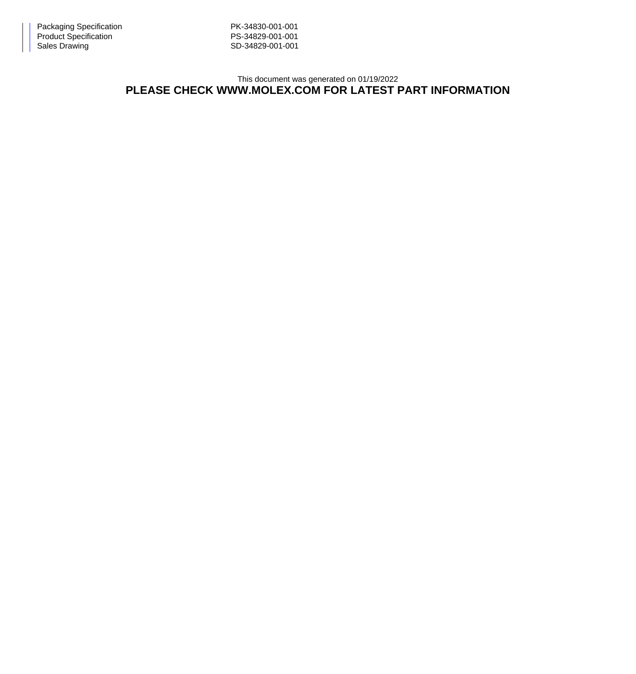This document was generated on 01/19/2022 **PLEASE CHECK WWW.MOLEX.COM FOR LATEST PART INFORMATION**